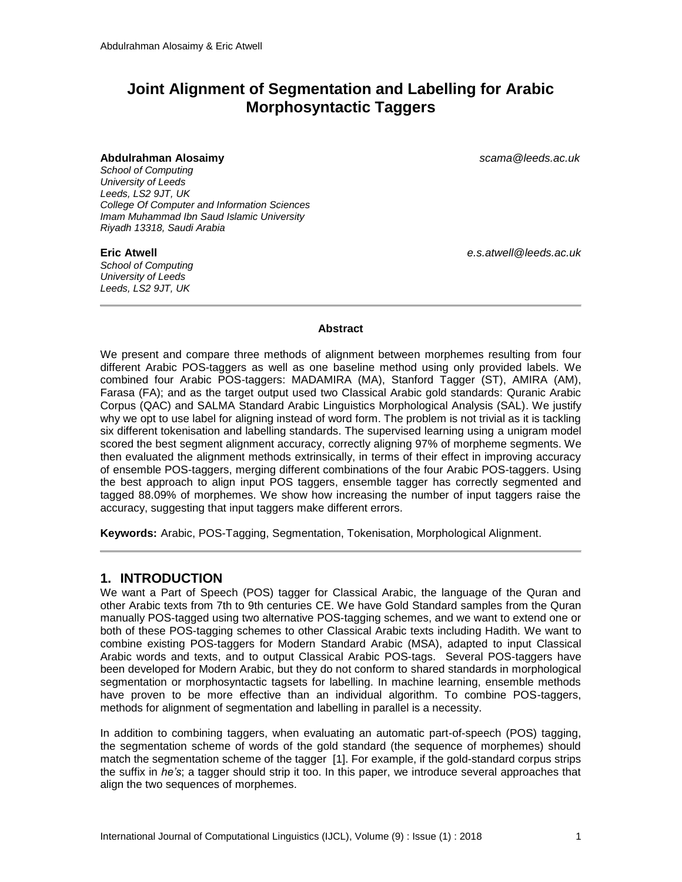# **Joint Alignment of Segmentation and Labelling for Arabic Morphosyntactic Taggers**

#### **Abdulrahman Alosaimy** *scama@leeds.ac.uk*

*School of Computing University of Leeds Leeds, LS2 9JT, UK College Of Computer and Information Sciences Imam Muhammad Ibn Saud Islamic University Riyadh 13318, Saudi Arabia*

*School of Computing University of Leeds Leeds, LS2 9JT, UK*

**Eric Atwell** *e.s.atwell@leeds.ac.uk*

#### **Abstract**

We present and compare three methods of alignment between morphemes resulting from four different Arabic POS-taggers as well as one baseline method using only provided labels. We combined four Arabic POS-taggers: MADAMIRA (MA), Stanford Tagger (ST), AMIRA (AM), Farasa (FA); and as the target output used two Classical Arabic gold standards: Quranic Arabic Corpus (QAC) and SALMA Standard Arabic Linguistics Morphological Analysis (SAL). We justify why we opt to use label for aligning instead of word form. The problem is not trivial as it is tackling six different tokenisation and labelling standards. The supervised learning using a unigram model scored the best segment alignment accuracy, correctly aligning 97% of morpheme segments. We then evaluated the alignment methods extrinsically, in terms of their effect in improving accuracy of ensemble POS-taggers, merging different combinations of the four Arabic POS-taggers. Using the best approach to align input POS taggers, ensemble tagger has correctly segmented and tagged 88.09% of morphemes. We show how increasing the number of input taggers raise the accuracy, suggesting that input taggers make different errors.

**Keywords:** Arabic, POS-Tagging, Segmentation, Tokenisation, Morphological Alignment.

### **1. INTRODUCTION**

We want a Part of Speech (POS) tagger for Classical Arabic, the language of the Quran and other Arabic texts from 7th to 9th centuries CE. We have Gold Standard samples from the Quran manually POS-tagged using two alternative POS-tagging schemes, and we want to extend one or both of these POS-tagging schemes to other Classical Arabic texts including Hadith. We want to combine existing POS-taggers for Modern Standard Arabic (MSA), adapted to input Classical Arabic words and texts, and to output Classical Arabic POS-tags. Several POS-taggers have been developed for Modern Arabic, but they do not conform to shared standards in morphological segmentation or morphosyntactic tagsets for labelling. In machine learning, ensemble methods have proven to be more effective than an individual algorithm. To combine POS-taggers, methods for alignment of segmentation and labelling in parallel is a necessity.

In addition to combining taggers, when evaluating an automatic part-of-speech (POS) tagging, the segmentation scheme of words of the gold standard (the sequence of morphemes) should match the segmentation scheme of the tagger [1]. For example, if the gold-standard corpus strips the suffix in *he's*; a tagger should strip it too. In this paper, we introduce several approaches that align the two sequences of morphemes.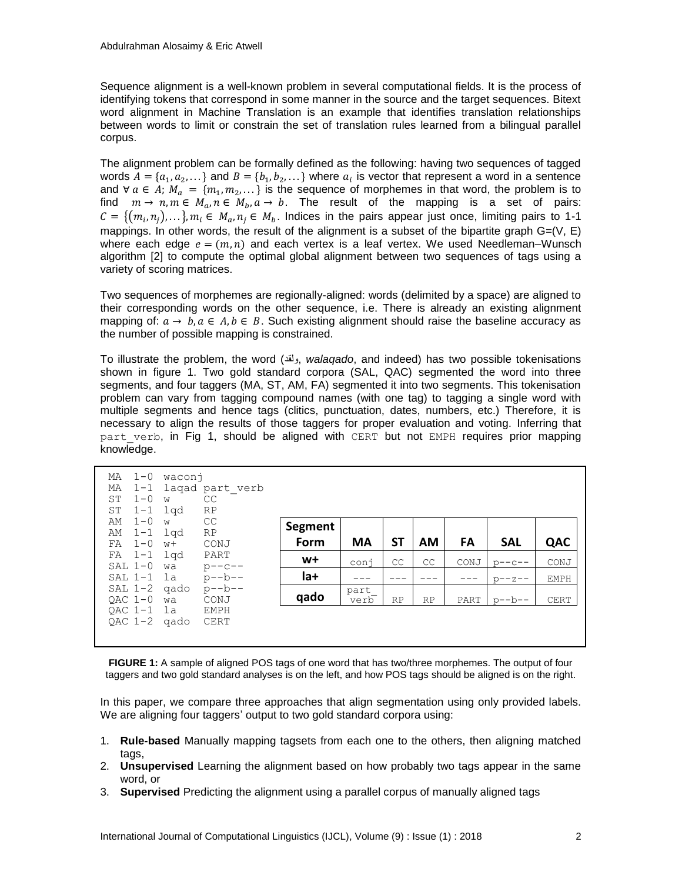Sequence alignment is a well-known problem in several computational fields. It is the process of identifying tokens that correspond in some manner in the source and the target sequences. Bitext word alignment in Machine Translation is an example that identifies translation relationships between words to limit or constrain the set of translation rules learned from a bilingual parallel corpus.

The alignment problem can be formally defined as the following: having two sequences of tagged words  $A = \{a_1, a_2, ...\}$  and  $B = \{b_1, b_2, ...\}$  where  $a_i$  is vector that represent a word in a sentence and  $\forall a \in A$ ;  $M_a = \{m_1, m_2, ...\}$  is the sequence of morphemes in that word, the problem is to find  $m \to n, m \in M_a, n \in M_b, a \to b$ . The result of the mapping is a set of pairs:  $C = \{(m_i, n_i), \ldots\}$ ,  $m_i \in M_a, n_i \in M_b$ . Indices in the pairs appear just once, limiting pairs to 1-1 mappings. In other words, the result of the alignment is a subset of the bipartite graph  $G=(V, E)$ where each edge  $e = (m, n)$  and each vertex is a leaf vertex. We used Needleman–Wunsch algorithm [2] to compute the optimal global alignment between two sequences of tags using a variety of scoring matrices.

Two sequences of morphemes are regionally-aligned: words (delimited by a space) are aligned to their corresponding words on the other sequence, i.e. There is already an existing alignment mapping of:  $a \rightarrow b, a \in A, b \in B$ . Such existing alignment should raise the baseline accuracy as the number of possible mapping is constrained.

To illustrate the problem, the word (ولقد, *walaqado*, and indeed) has two possible tokenisations shown in figure 1. Two gold standard corpora (SAL, QAC) segmented the word into three segments, and four taggers (MA, ST, AM, FA) segmented it into two segments. This tokenisation problem can vary from tagging compound names (with one tag) to tagging a single word with multiple segments and hence tags (clitics, punctuation, dates, numbers, etc.) Therefore, it is necessary to align the results of those taggers for proper evaluation and voting. Inferring that part verb, in Fig 1, should be aligned with CERT but not EMPH requires prior mapping knowledge.

| МA<br>МA<br><b>ST</b><br>SΤ | $1 - 0$<br>$1 - 1$<br>$1 - 0$<br>$1 - 1$ | waconj<br>W<br>lqd   | laqad part verb<br>CC<br>RP |         |              |           |           |      |              |             |
|-----------------------------|------------------------------------------|----------------------|-----------------------------|---------|--------------|-----------|-----------|------|--------------|-------------|
| AΜ<br>AΜ                    | $1 - 0$                                  | W                    | CC<br><b>RP</b>             | Segment |              |           |           |      |              |             |
| FA                          | $1-1$ $1$ qd<br>$1 - 0$                  | $W +$                | CONJ                        | Form    | <b>MA</b>    | <b>ST</b> | AM        | FA   | <b>SAL</b>   | QAC         |
|                             | $FA$ 1-1<br>$SAL$ $1-0$                  | lqd<br>wa            | PART<br>$p---c---$          | $W+$    | conj         | CC        | CC        | CONJ | $p - -c - -$ | CONJ        |
|                             |                                          |                      | SAL $1-1$ la $p--b--$       | la+     |              |           |           |      | $D = -Z - -$ | <b>EMPH</b> |
|                             | $OAC$ $1-0$                              | $SAL 1-2$ gado<br>wa | $p - b - -$<br>CONJ         | qado    | part<br>verb | <b>RP</b> | <b>RP</b> | PART | $p - -b - -$ | <b>CERT</b> |
|                             | OAC 1-1 la                               | $QAC$ 1-2 gado       | EMPH<br><b>CERT</b>         |         |              |           |           |      |              |             |

**FIGURE 1:** A sample of aligned POS tags of one word that has two/three morphemes. The output of four taggers and two gold standard analyses is on the left, and how POS tags should be aligned is on the right.

In this paper, we compare three approaches that align segmentation using only provided labels. We are aligning four taggers' output to two gold standard corpora using:

- 1. **Rule-based** Manually mapping tagsets from each one to the others, then aligning matched tags,
- 2. **Unsupervised** Learning the alignment based on how probably two tags appear in the same word, or
- 3. **Supervised** Predicting the alignment using a parallel corpus of manually aligned tags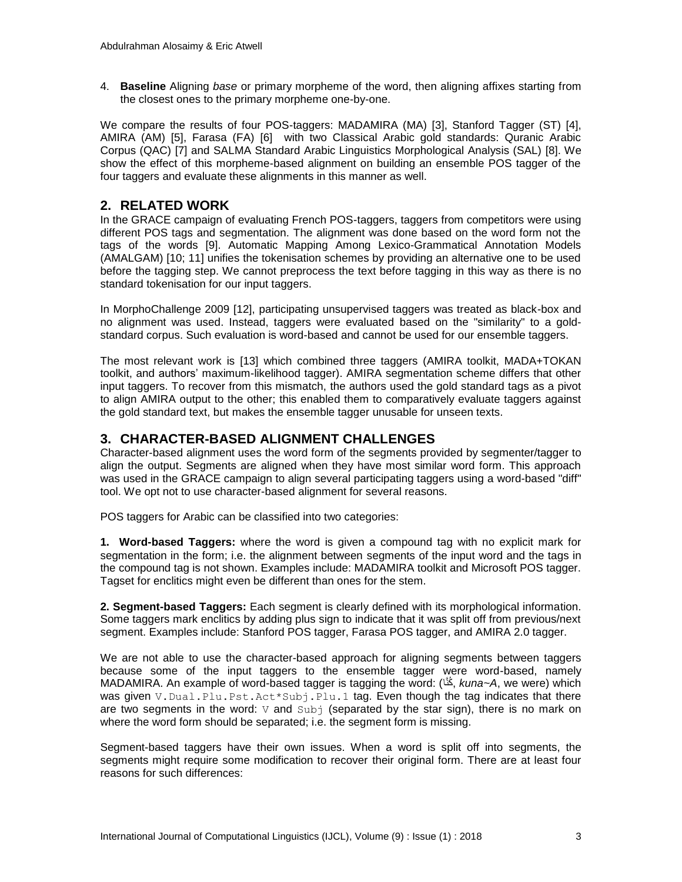4. **Baseline** Aligning *base* or primary morpheme of the word, then aligning affixes starting from the closest ones to the primary morpheme one-by-one.

We compare the results of four POS-taggers: MADAMIRA (MA) [3], Stanford Tagger (ST) [4], AMIRA (AM) [5], Farasa (FA) [6] with two Classical Arabic gold standards: Quranic Arabic Corpus (QAC) [7] and SALMA Standard Arabic Linguistics Morphological Analysis (SAL) [8]. We show the effect of this morpheme-based alignment on building an ensemble POS tagger of the four taggers and evaluate these alignments in this manner as well.

# **2. RELATED WORK**

In the GRACE campaign of evaluating French POS-taggers, taggers from competitors were using different POS tags and segmentation. The alignment was done based on the word form not the tags of the words [9]. Automatic Mapping Among Lexico-Grammatical Annotation Models (AMALGAM) [10; 11] unifies the tokenisation schemes by providing an alternative one to be used before the tagging step. We cannot preprocess the text before tagging in this way as there is no standard tokenisation for our input taggers.

In MorphoChallenge 2009 [12], participating unsupervised taggers was treated as black-box and no alignment was used. Instead, taggers were evaluated based on the "similarity" to a goldstandard corpus. Such evaluation is word-based and cannot be used for our ensemble taggers.

The most relevant work is [13] which combined three taggers (AMIRA toolkit, MADA+TOKAN toolkit, and authors' maximum-likelihood tagger). AMIRA segmentation scheme differs that other input taggers. To recover from this mismatch, the authors used the gold standard tags as a pivot to align AMIRA output to the other; this enabled them to comparatively evaluate taggers against the gold standard text, but makes the ensemble tagger unusable for unseen texts.

# **3. CHARACTER-BASED ALIGNMENT CHALLENGES**

Character-based alignment uses the word form of the segments provided by segmenter/tagger to align the output. Segments are aligned when they have most similar word form. This approach was used in the GRACE campaign to align several participating taggers using a word-based "diff" tool. We opt not to use character-based alignment for several reasons.

POS taggers for Arabic can be classified into two categories:

**1. Word-based Taggers:** where the word is given a compound tag with no explicit mark for segmentation in the form; i.e. the alignment between segments of the input word and the tags in the compound tag is not shown. Examples include: MADAMIRA toolkit and Microsoft POS tagger. Tagset for enclitics might even be different than ones for the stem.

**2. Segment-based Taggers:** Each segment is clearly defined with its morphological information. Some taggers mark enclitics by adding plus sign to indicate that it was split off from previous/next segment. Examples include: Stanford POS tagger, Farasa POS tagger, and AMIRA 2.0 tagger.

We are not able to use the character-based approach for aligning segments between taggers because some of the input taggers to the ensemble tagger were word-based, namely MADAMIRA. An example of word-based tagger is tagging the word: (اَّكنُ , *kuna~A*, we were) which was given V. Dual.Plu.Pst.Act\*Subj.Plu.1 tag. Even though the tag indicates that there are two segments in the word:  $\nabla$  and  $\text{Subj}$  (separated by the star sign), there is no mark on where the word form should be separated; i.e. the segment form is missing.

Segment-based taggers have their own issues. When a word is split off into segments, the segments might require some modification to recover their original form. There are at least four reasons for such differences: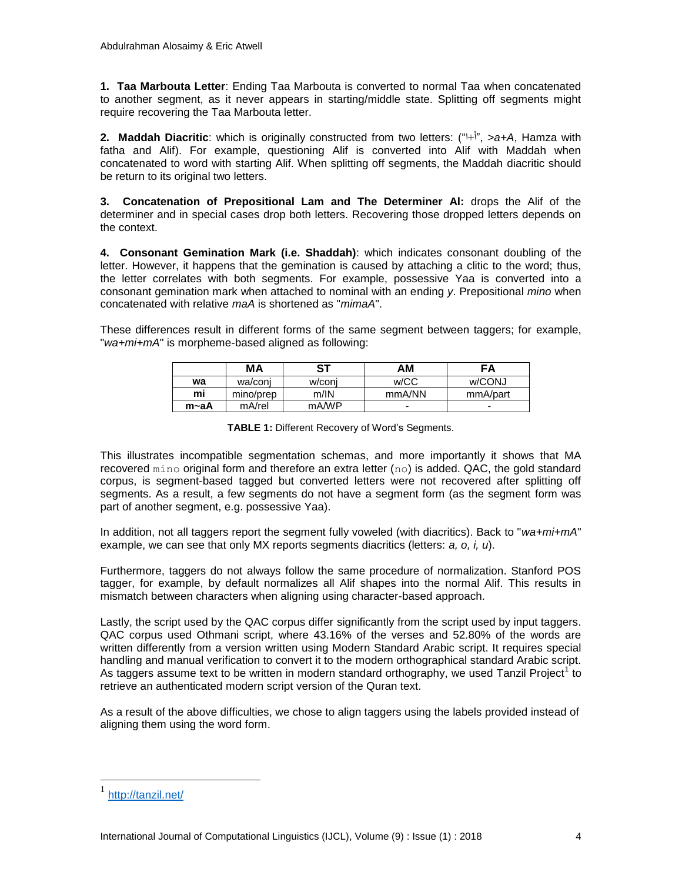**1. Taa Marbouta Letter**: Ending Taa Marbouta is converted to normal Taa when concatenated to another segment, as it never appears in starting/middle state. Splitting off segments might require recovering the Taa Marbouta letter.

**2. Maddah Diacritic**: which is originally constructed from two letters: (" $\vdash$ i", >a+A, Hamza with fatha and Alif). For example, questioning Alif is converted into Alif with Maddah when concatenated to word with starting Alif. When splitting off segments, the Maddah diacritic should be return to its original two letters.

**3. Concatenation of Prepositional Lam and The Determiner Al:** drops the Alif of the determiner and in special cases drop both letters. Recovering those dropped letters depends on the context.

**4. Consonant Gemination Mark (i.e. Shaddah)**: which indicates consonant doubling of the letter. However, it happens that the gemination is caused by attaching a clitic to the word; thus, the letter correlates with both segments. For example, possessive Yaa is converted into a consonant gemination mark when attached to nominal with an ending *y*. Prepositional *mino* when concatenated with relative *maA* is shortened as "*mimaA*".

These differences result in different forms of the same segment between taggers; for example, "*wa+mi+mA*" is morpheme-based aligned as following:

|      | МA        | <b>ST</b> | ΑM     | FΑ       |
|------|-----------|-----------|--------|----------|
| wa   | wa/coni   | w/coni    | w/CC   | w/CONJ   |
| mi   | mino/prep | m/IN      | mmA/NN | mmA/part |
| m∼aA | mA/rel    | mA/WP     | -      |          |

**TABLE 1:** Different Recovery of Word's Segments.

This illustrates incompatible segmentation schemas, and more importantly it shows that MA recovered  $\min$  original form and therefore an extra letter  $(n_0)$  is added. QAC, the gold standard corpus, is segment-based tagged but converted letters were not recovered after splitting off segments. As a result, a few segments do not have a segment form (as the segment form was part of another segment, e.g. possessive Yaa).

In addition, not all taggers report the segment fully voweled (with diacritics). Back to "*wa+mi+mA*" example, we can see that only MX reports segments diacritics (letters: *a, o, i, u*).

Furthermore, taggers do not always follow the same procedure of normalization. Stanford POS tagger, for example, by default normalizes all Alif shapes into the normal Alif. This results in mismatch between characters when aligning using character-based approach.

Lastly, the script used by the QAC corpus differ significantly from the script used by input taggers. QAC corpus used Othmani script, where 43.16% of the verses and 52.80% of the words are written differently from a version written using Modern Standard Arabic script. It requires special handling and manual verification to convert it to the modern orthographical standard Arabic script. As taggers assume text to be written in modern standard orthography, we used Tanzil Project<sup>1</sup> to retrieve an authenticated modern script version of the Quran text.

As a result of the above difficulties, we chose to align taggers using the labels provided instead of aligning them using the word form.

 $\overline{a}$ 

<sup>1</sup> <http://tanzil.net/>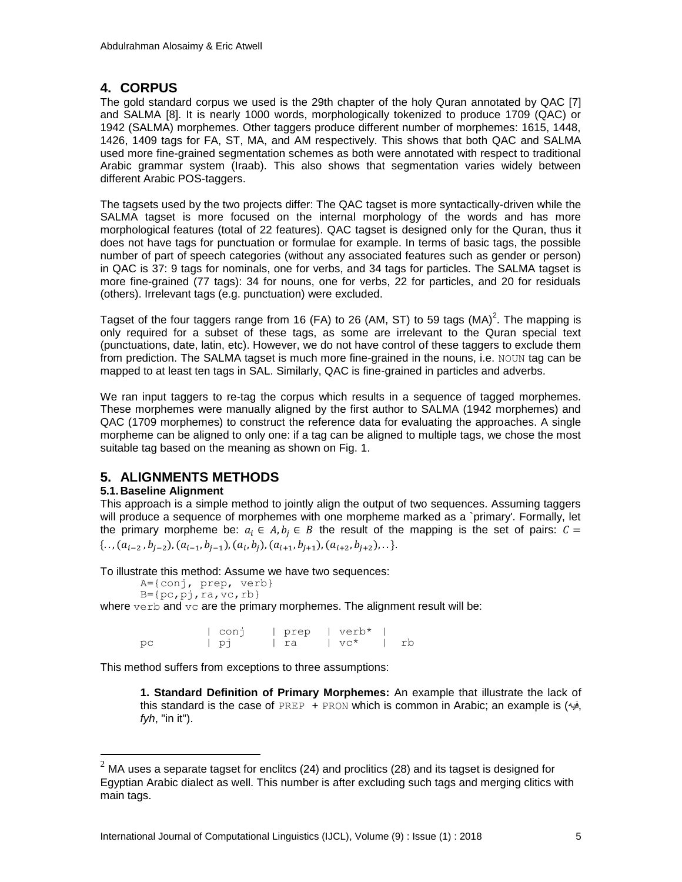# **4. CORPUS**

The gold standard corpus we used is the 29th chapter of the holy Quran annotated by QAC [7] and SALMA [8]. It is nearly 1000 words, morphologically tokenized to produce 1709 (QAC) or 1942 (SALMA) morphemes. Other taggers produce different number of morphemes: 1615, 1448, 1426, 1409 tags for FA, ST, MA, and AM respectively. This shows that both QAC and SALMA used more fine-grained segmentation schemes as both were annotated with respect to traditional Arabic grammar system (Iraab). This also shows that segmentation varies widely between different Arabic POS-taggers.

The tagsets used by the two projects differ: The QAC tagset is more syntactically-driven while the SALMA tagset is more focused on the internal morphology of the words and has more morphological features (total of 22 features). QAC tagset is designed only for the Quran, thus it does not have tags for punctuation or formulae for example. In terms of basic tags, the possible number of part of speech categories (without any associated features such as gender or person) in QAC is 37: 9 tags for nominals, one for verbs, and 34 tags for particles. The SALMA tagset is more fine-grained (77 tags): 34 for nouns, one for verbs, 22 for particles, and 20 for residuals (others). Irrelevant tags (e.g. punctuation) were excluded.

Tagset of the four taggers range from 16 (FA) to 26 (AM, ST) to 59 tags (MA)<sup>2</sup>. The mapping is only required for a subset of these tags, as some are irrelevant to the Quran special text (punctuations, date, latin, etc). However, we do not have control of these taggers to exclude them from prediction. The SALMA tagset is much more fine-grained in the nouns, i.e. NOUN tag can be mapped to at least ten tags in SAL. Similarly, QAC is fine-grained in particles and adverbs.

We ran input taggers to re-tag the corpus which results in a sequence of tagged morphemes. These morphemes were manually aligned by the first author to SALMA (1942 morphemes) and QAC (1709 morphemes) to construct the reference data for evaluating the approaches. A single morpheme can be aligned to only one: if a tag can be aligned to multiple tags, we chose the most suitable tag based on the meaning as shown on Fig. 1.

# **5. ALIGNMENTS METHODS**

### **5.1.Baseline Alignment**

 $\overline{a}$ 

This approach is a simple method to jointly align the output of two sequences. Assuming taggers will produce a sequence of morphemes with one morpheme marked as a `primary'. Formally, let the primary morpheme be:  $a_i \in A, b_i \in B$  the result of the mapping is the set of pairs:  $C =$  $\{ \ldots, (a_{i-2}, b_{i-2}), (a_{i-1}, b_{i-1}), (a_i, b_i), (a_{i+1}, b_{i+1}), (a_{i+2}, b_{i+2}), \ldots \}.$ 

To illustrate this method: Assume we have two sequences:

```
A={conj, prep, verb}
```

```
B = \{pc, pj, ra, vc, rb\}
```
where  $\text{verb}$  and  $\text{vc}$  are the primary morphemes. The alignment result will be:

|    | conj | $ $ prep $ $ verb* |             |    |
|----|------|--------------------|-------------|----|
| pс | וֹס  | l ra               | $\vert$ vc* | rb |

This method suffers from exceptions to three assumptions:

**1. Standard Definition of Primary Morphemes:** An example that illustrate the lack of this standard is the case of PREP + PRON which is common in Arabic; an example is (فيه, *fyh*, "in it").

 $^2$  MA uses a separate tagset for enclitcs (24) and proclitics (28) and its tagset is designed for Egyptian Arabic dialect as well. This number is after excluding such tags and merging clitics with main tags.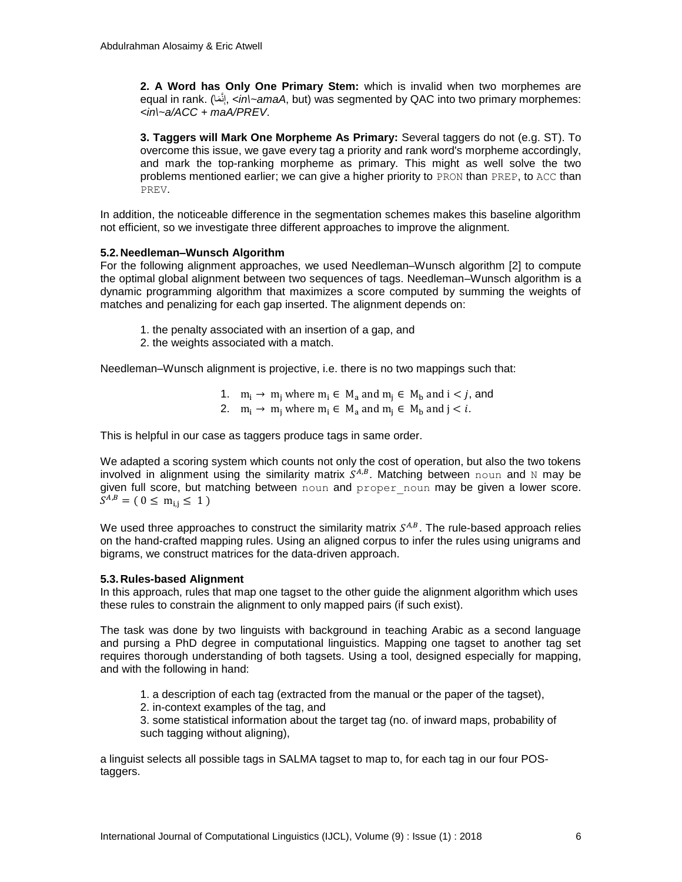**2. A Word has Only One Primary Stem:** which is invalid when two morphemes are equal in rank. (إِنّ*ما , <in\~amaA*, but) was segmented by QAC into two primary morphemes: ِنَّ *<in\~a/ACC + maA/PREV*.

**3. Taggers will Mark One Morpheme As Primary:** Several taggers do not (e.g. ST). To overcome this issue, we gave every tag a priority and rank word's morpheme accordingly, and mark the top-ranking morpheme as primary. This might as well solve the two problems mentioned earlier; we can give a higher priority to PRON than PREP, to ACC than PREV.

In addition, the noticeable difference in the segmentation schemes makes this baseline algorithm not efficient, so we investigate three different approaches to improve the alignment.

#### **5.2.Needleman–Wunsch Algorithm**

For the following alignment approaches, we used Needleman–Wunsch algorithm [2] to compute the optimal global alignment between two sequences of tags. Needleman–Wunsch algorithm is a dynamic programming algorithm that maximizes a score computed by summing the weights of matches and penalizing for each gap inserted. The alignment depends on:

- 1. the penalty associated with an insertion of a gap, and
- 2. the weights associated with a match.

Needleman–Wunsch alignment is projective, i.e. there is no two mappings such that:

1.  $m_i \rightarrow m_i$  where  $m_i \in M_a$  and  $m_i \in M_b$  and  $i < j$ , and 2.  $m_i \rightarrow m_i$  where  $m_i \in M_a$  and  $m_i \in M_b$  and  $j < i$ .

This is helpful in our case as taggers produce tags in same order.

We adapted a scoring system which counts not only the cost of operation, but also the two tokens involved in alignment using the similarity matrix  $S^{A,B}$ . Matching between noun and N may be given full score, but matching between noun and proper noun may be given a lower score.  $S^A$ 

We used three approaches to construct the similarity matrix  $S^{A,B}$ . The rule-based approach relies on the hand-crafted mapping rules. Using an aligned corpus to infer the rules using unigrams and bigrams, we construct matrices for the data-driven approach.

### **5.3.Rules-based Alignment**

In this approach, rules that map one tagset to the other guide the alignment algorithm which uses these rules to constrain the alignment to only mapped pairs (if such exist).

The task was done by two linguists with background in teaching Arabic as a second language and pursing a PhD degree in computational linguistics. Mapping one tagset to another tag set requires thorough understanding of both tagsets. Using a tool, designed especially for mapping, and with the following in hand:

- 1. a description of each tag (extracted from the manual or the paper of the tagset),
- 2. in-context examples of the tag, and

3. some statistical information about the target tag (no. of inward maps, probability of such tagging without aligning),

a linguist selects all possible tags in SALMA tagset to map to, for each tag in our four POStaggers.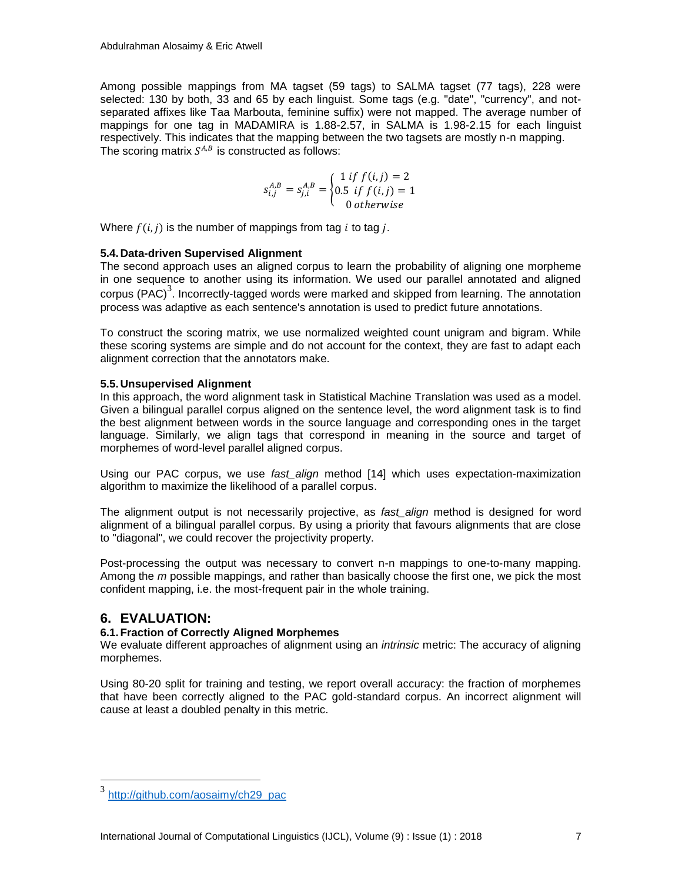Among possible mappings from MA tagset (59 tags) to SALMA tagset (77 tags), 228 were selected: 130 by both, 33 and 65 by each linguist. Some tags (e.g. "date", "currency", and notseparated affixes like Taa Marbouta, feminine suffix) were not mapped. The average number of mappings for one tag in MADAMIRA is 1.88-2.57, in SALMA is 1.98-2.15 for each linguist respectively. This indicates that the mapping between the two tagsets are mostly n-n mapping. The scoring matrix  $S^{A,B}$  is constructed as follows:

$$
s_{i,j}^{A,B} = s_{j,i}^{A,B} = \begin{cases} 1 \text{ if } f(i,j) = 2\\ 0.5 \text{ if } f(i,j) = 1\\ 0 \text{ otherwise} \end{cases}
$$

Where  $f(i, j)$  is the number of mappings from tag i to tag i.

#### **5.4.Data-driven Supervised Alignment**

The second approach uses an aligned corpus to learn the probability of aligning one morpheme in one sequence to another using its information. We used our parallel annotated and aligned corpus (PAC)<sup>3</sup>. Incorrectly-tagged words were marked and skipped from learning. The annotation process was adaptive as each sentence's annotation is used to predict future annotations.

To construct the scoring matrix, we use normalized weighted count unigram and bigram. While these scoring systems are simple and do not account for the context, they are fast to adapt each alignment correction that the annotators make.

### **5.5.Unsupervised Alignment**

In this approach, the word alignment task in Statistical Machine Translation was used as a model. Given a bilingual parallel corpus aligned on the sentence level, the word alignment task is to find the best alignment between words in the source language and corresponding ones in the target language. Similarly, we align tags that correspond in meaning in the source and target of morphemes of word-level parallel aligned corpus.

Using our PAC corpus, we use *fast\_align* method [14] which uses expectation-maximization algorithm to maximize the likelihood of a parallel corpus.

The alignment output is not necessarily projective, as *fast\_align* method is designed for word alignment of a bilingual parallel corpus. By using a priority that favours alignments that are close to "diagonal", we could recover the projectivity property.

Post-processing the output was necessary to convert n-n mappings to one-to-many mapping. Among the *m* possible mappings, and rather than basically choose the first one, we pick the most confident mapping, i.e. the most-frequent pair in the whole training.

# **6. EVALUATION:**

 $\overline{a}$ 

### **6.1.Fraction of Correctly Aligned Morphemes**

We evaluate different approaches of alignment using an *intrinsic* metric: The accuracy of aligning morphemes.

Using 80-20 split for training and testing, we report overall accuracy: the fraction of morphemes that have been correctly aligned to the PAC gold-standard corpus. An incorrect alignment will cause at least a doubled penalty in this metric.

<sup>3</sup> [http://github.com/aosaimy/ch29\\_pac](http://github.com/aosaimy/ch29_pac)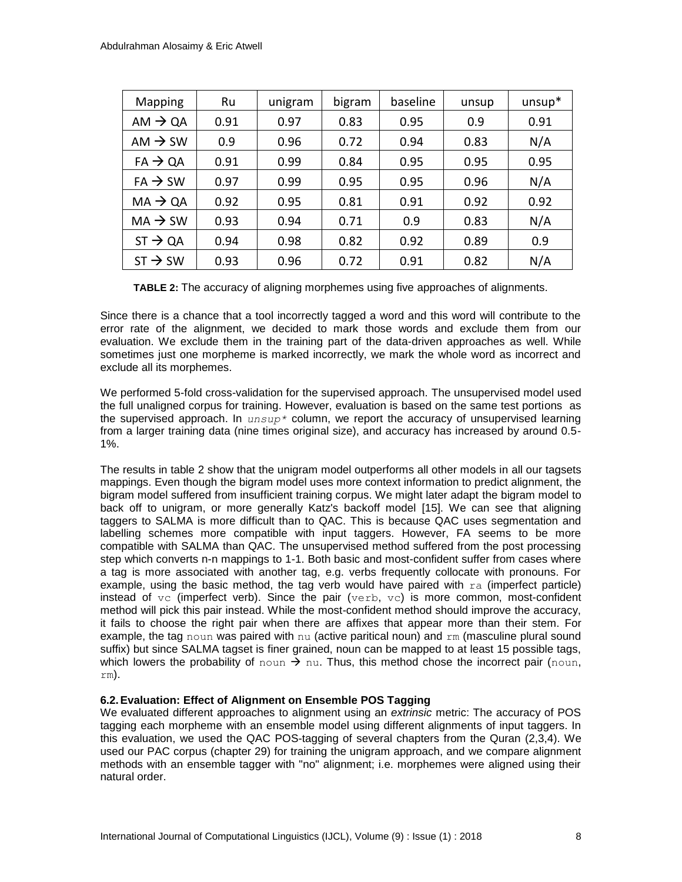| Mapping             | Ru   | unigram | bigram | baseline | unsup | $unsup*$ |
|---------------------|------|---------|--------|----------|-------|----------|
| $AM \rightarrow QA$ | 0.91 | 0.97    | 0.83   | 0.95     | 0.9   | 0.91     |
| AM $\rightarrow$ SW | 0.9  | 0.96    | 0.72   | 0.94     | 0.83  | N/A      |
| $FA \rightarrow QA$ | 0.91 | 0.99    | 0.84   | 0.95     | 0.95  | 0.95     |
| $FA \rightarrow SW$ | 0.97 | 0.99    | 0.95   | 0.95     | 0.96  | N/A      |
| $MA \rightarrow QA$ | 0.92 | 0.95    | 0.81   | 0.91     | 0.92  | 0.92     |
| $MA \rightarrow SW$ | 0.93 | 0.94    | 0.71   | 0.9      | 0.83  | N/A      |
| $ST \rightarrow QA$ | 0.94 | 0.98    | 0.82   | 0.92     | 0.89  | 0.9      |
| $ST \rightarrow SW$ | 0.93 | 0.96    | 0.72   | 0.91     | 0.82  | N/A      |

**TABLE 2:** The accuracy of aligning morphemes using five approaches of alignments.

Since there is a chance that a tool incorrectly tagged a word and this word will contribute to the error rate of the alignment, we decided to mark those words and exclude them from our evaluation. We exclude them in the training part of the data-driven approaches as well. While sometimes just one morpheme is marked incorrectly, we mark the whole word as incorrect and exclude all its morphemes.

We performed 5-fold cross-validation for the supervised approach. The unsupervised model used the full unaligned corpus for training. However, evaluation is based on the same test portions as the supervised approach. In *unsup\** column, we report the accuracy of unsupervised learning from a larger training data (nine times original size), and accuracy has increased by around 0.5- 1%.

The results in table 2 show that the unigram model outperforms all other models in all our tagsets mappings. Even though the bigram model uses more context information to predict alignment, the bigram model suffered from insufficient training corpus. We might later adapt the bigram model to back off to unigram, or more generally Katz's backoff model [15]. We can see that aligning taggers to SALMA is more difficult than to QAC. This is because QAC uses segmentation and labelling schemes more compatible with input taggers. However, FA seems to be more compatible with SALMA than QAC. The unsupervised method suffered from the post processing step which converts n-n mappings to 1-1. Both basic and most-confident suffer from cases where a tag is more associated with another tag, e.g. verbs frequently collocate with pronouns. For example, using the basic method, the tag verb would have paired with  $ra$  (imperfect particle) instead of  $vc$  (imperfect verb). Since the pair (verb, vc) is more common, most-confident method will pick this pair instead. While the most-confident method should improve the accuracy, it fails to choose the right pair when there are affixes that appear more than their stem. For example, the tag noun was paired with nu (active paritical noun) and  $rm$  (masculine plural sound suffix) but since SALMA tagset is finer grained, noun can be mapped to at least 15 possible tags, which lowers the probability of noun  $\rightarrow$  nu. Thus, this method chose the incorrect pair (noun, rm).

### **6.2.Evaluation: Effect of Alignment on Ensemble POS Tagging**

We evaluated different approaches to alignment using an *extrinsic* metric: The accuracy of POS tagging each morpheme with an ensemble model using different alignments of input taggers. In this evaluation, we used the QAC POS-tagging of several chapters from the Quran (2,3,4). We used our PAC corpus (chapter 29) for training the unigram approach, and we compare alignment methods with an ensemble tagger with "no" alignment; i.e. morphemes were aligned using their natural order.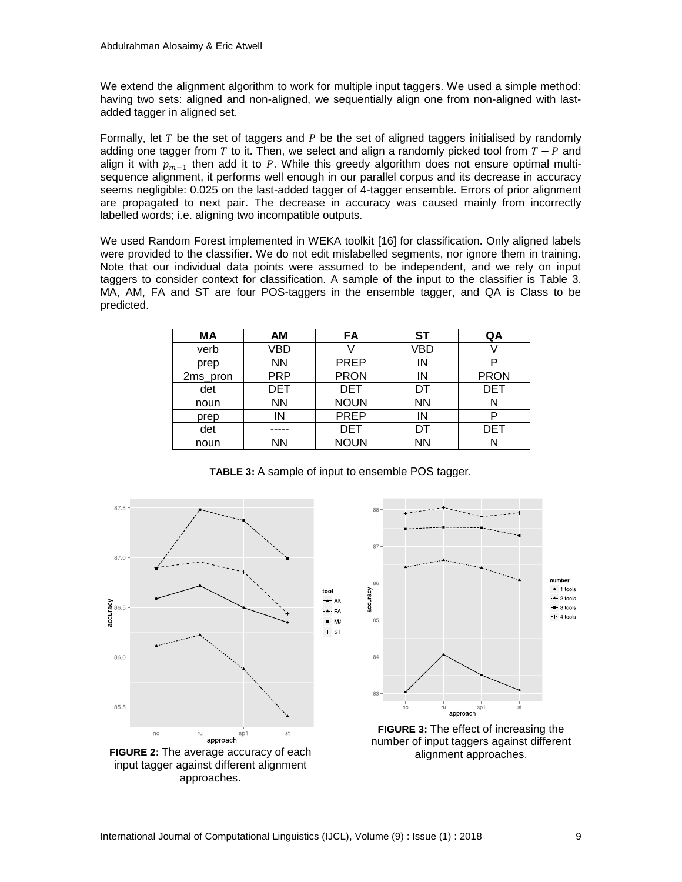We extend the alignment algorithm to work for multiple input taggers. We used a simple method: having two sets: aligned and non-aligned, we sequentially align one from non-aligned with lastadded tagger in aligned set.

Formally, let  $T$  be the set of taggers and  $P$  be the set of aligned taggers initialised by randomly adding one tagger from T to it. Then, we select and align a randomly picked tool from  $T - P$  and align it with  $p_{m-1}$  then add it to P. While this greedy algorithm does not ensure optimal multisequence alignment, it performs well enough in our parallel corpus and its decrease in accuracy seems negligible: 0.025 on the last-added tagger of 4-tagger ensemble. Errors of prior alignment are propagated to next pair. The decrease in accuracy was caused mainly from incorrectly labelled words; i.e. aligning two incompatible outputs.

We used Random Forest implemented in WEKA toolkit [16] for classification. Only aligned labels were provided to the classifier. We do not edit mislabelled segments, nor ignore them in training. Note that our individual data points were assumed to be independent, and we rely on input taggers to consider context for classification. A sample of the input to the classifier is Table 3. MA, AM, FA and ST are four POS-taggers in the ensemble tagger, and QA is Class to be predicted.

| МA       | АM         | FA                | ST        | QA          |
|----------|------------|-------------------|-----------|-------------|
| verb     | VBD        |                   | VBD       |             |
| prep     | <b>NN</b>  | IN<br><b>PREP</b> |           |             |
| 2ms_pron | <b>PRP</b> | <b>PRON</b>       | IN        | <b>PRON</b> |
| det      | DET        | DET               | DT        | <b>DET</b>  |
| noun     | <b>NN</b>  | <b>NOUN</b>       | <b>NN</b> |             |
| prep     | IN         | <b>PREP</b>       | IN        |             |
| det      |            | DET               | DT        | <b>DET</b>  |
| noun     | ΝN         | <b>NOUN</b>       | NN        |             |



**TABLE 3:** A sample of input to ensemble POS tagger.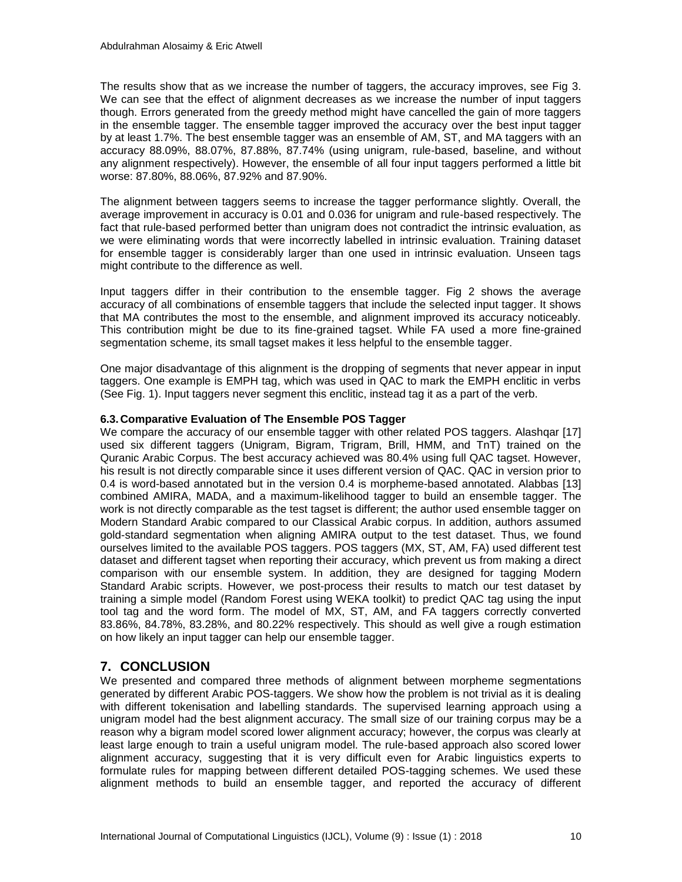The results show that as we increase the number of taggers, the accuracy improves, see Fig 3. We can see that the effect of alignment decreases as we increase the number of input taggers though. Errors generated from the greedy method might have cancelled the gain of more taggers in the ensemble tagger. The ensemble tagger improved the accuracy over the best input tagger by at least 1.7%. The best ensemble tagger was an ensemble of AM, ST, and MA taggers with an accuracy 88.09%, 88.07%, 87.88%, 87.74% (using unigram, rule-based, baseline, and without any alignment respectively). However, the ensemble of all four input taggers performed a little bit worse: 87.80%, 88.06%, 87.92% and 87.90%.

The alignment between taggers seems to increase the tagger performance slightly. Overall, the average improvement in accuracy is 0.01 and 0.036 for unigram and rule-based respectively. The fact that rule-based performed better than unigram does not contradict the intrinsic evaluation, as we were eliminating words that were incorrectly labelled in intrinsic evaluation. Training dataset for ensemble tagger is considerably larger than one used in intrinsic evaluation. Unseen tags might contribute to the difference as well.

Input taggers differ in their contribution to the ensemble tagger. Fig 2 shows the average accuracy of all combinations of ensemble taggers that include the selected input tagger. It shows that MA contributes the most to the ensemble, and alignment improved its accuracy noticeably. This contribution might be due to its fine-grained tagset. While FA used a more fine-grained segmentation scheme, its small tagset makes it less helpful to the ensemble tagger.

One major disadvantage of this alignment is the dropping of segments that never appear in input taggers. One example is EMPH tag, which was used in QAC to mark the EMPH enclitic in verbs (See Fig. 1). Input taggers never segment this enclitic, instead tag it as a part of the verb.

#### **6.3.Comparative Evaluation of The Ensemble POS Tagger**

We compare the accuracy of our ensemble tagger with other related POS taggers. Alashgar [17] used six different taggers (Unigram, Bigram, Trigram, Brill, HMM, and TnT) trained on the Quranic Arabic Corpus. The best accuracy achieved was 80.4% using full QAC tagset. However, his result is not directly comparable since it uses different version of QAC. QAC in version prior to 0.4 is word-based annotated but in the version 0.4 is morpheme-based annotated. Alabbas [13] combined AMIRA, MADA, and a maximum-likelihood tagger to build an ensemble tagger. The work is not directly comparable as the test tagset is different; the author used ensemble tagger on Modern Standard Arabic compared to our Classical Arabic corpus. In addition, authors assumed gold-standard segmentation when aligning AMIRA output to the test dataset. Thus, we found ourselves limited to the available POS taggers. POS taggers (MX, ST, AM, FA) used different test dataset and different tagset when reporting their accuracy, which prevent us from making a direct comparison with our ensemble system. In addition, they are designed for tagging Modern Standard Arabic scripts. However, we post-process their results to match our test dataset by training a simple model (Random Forest using WEKA toolkit) to predict QAC tag using the input tool tag and the word form. The model of MX, ST, AM, and FA taggers correctly converted 83.86%, 84.78%, 83.28%, and 80.22% respectively. This should as well give a rough estimation on how likely an input tagger can help our ensemble tagger.

# **7. CONCLUSION**

We presented and compared three methods of alignment between morpheme segmentations generated by different Arabic POS-taggers. We show how the problem is not trivial as it is dealing with different tokenisation and labelling standards. The supervised learning approach using a unigram model had the best alignment accuracy. The small size of our training corpus may be a reason why a bigram model scored lower alignment accuracy; however, the corpus was clearly at least large enough to train a useful unigram model. The rule-based approach also scored lower alignment accuracy, suggesting that it is very difficult even for Arabic linguistics experts to formulate rules for mapping between different detailed POS-tagging schemes. We used these alignment methods to build an ensemble tagger, and reported the accuracy of different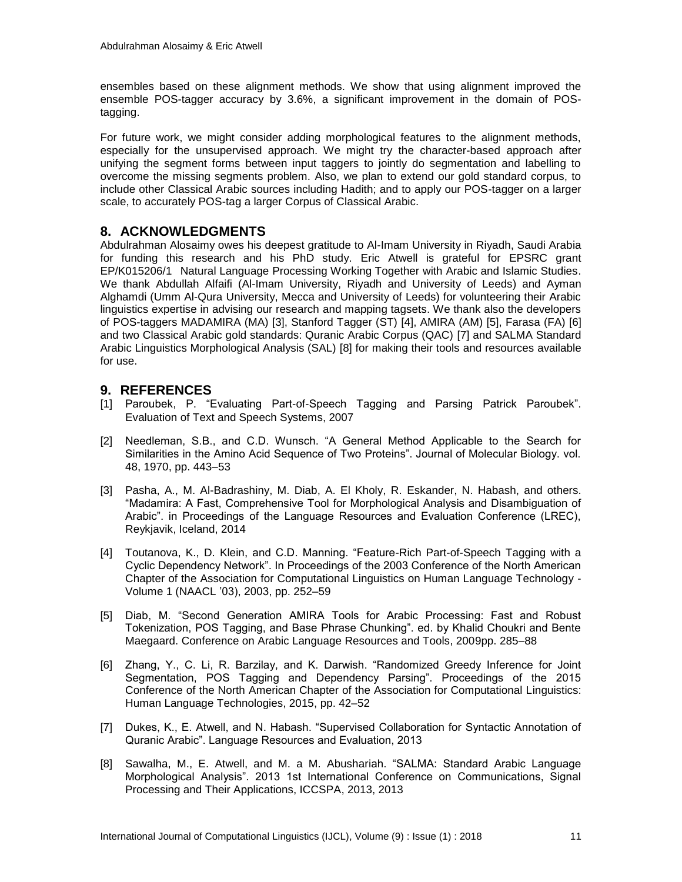ensembles based on these alignment methods. We show that using alignment improved the ensemble POS-tagger accuracy by 3.6%, a significant improvement in the domain of POStagging.

For future work, we might consider adding morphological features to the alignment methods, especially for the unsupervised approach. We might try the character-based approach after unifying the segment forms between input taggers to jointly do segmentation and labelling to overcome the missing segments problem. Also, we plan to extend our gold standard corpus, to include other Classical Arabic sources including Hadith; and to apply our POS-tagger on a larger scale, to accurately POS-tag a larger Corpus of Classical Arabic.

# **8. ACKNOWLEDGMENTS**

Abdulrahman Alosaimy owes his deepest gratitude to Al-Imam University in Riyadh, Saudi Arabia for funding this research and his PhD study. Eric Atwell is grateful for EPSRC grant EP/K015206/1 Natural Language Processing Working Together with Arabic and Islamic Studies. We thank Abdullah Alfaifi (Al-Imam University, Riyadh and University of Leeds) and Ayman Alghamdi (Umm Al-Qura University, Mecca and University of Leeds) for volunteering their Arabic linguistics expertise in advising our research and mapping tagsets. We thank also the developers of POS-taggers MADAMIRA (MA) [3], Stanford Tagger (ST) [4], AMIRA (AM) [5], Farasa (FA) [6] and two Classical Arabic gold standards: Quranic Arabic Corpus (QAC) [7] and SALMA Standard Arabic Linguistics Morphological Analysis (SAL) [8] for making their tools and resources available for use.

# **9. REFERENCES**

- [1] Paroubek, P. "Evaluating Part-of-Speech Tagging and Parsing Patrick Paroubek". Evaluation of Text and Speech Systems, 2007
- [2] Needleman, S.B., and C.D. Wunsch. "A General Method Applicable to the Search for Similarities in the Amino Acid Sequence of Two Proteins". Journal of Molecular Biology. vol. 48, 1970, pp. 443–53
- [3] Pasha, A., M. Al-Badrashiny, M. Diab, A. El Kholy, R. Eskander, N. Habash, and others. "Madamira: A Fast, Comprehensive Tool for Morphological Analysis and Disambiguation of Arabic". in Proceedings of the Language Resources and Evaluation Conference (LREC), Reykjavik, Iceland, 2014
- [4] Toutanova, K., D. Klein, and C.D. Manning. "Feature-Rich Part-of-Speech Tagging with a Cyclic Dependency Network". In Proceedings of the 2003 Conference of the North American Chapter of the Association for Computational Linguistics on Human Language Technology - Volume 1 (NAACL '03), 2003, pp. 252–59
- [5] Diab, M. "Second Generation AMIRA Tools for Arabic Processing: Fast and Robust Tokenization, POS Tagging, and Base Phrase Chunking". ed. by Khalid Choukri and Bente Maegaard. Conference on Arabic Language Resources and Tools, 2009pp. 285–88
- [6] Zhang, Y., C. Li, R. Barzilay, and K. Darwish. "Randomized Greedy Inference for Joint Segmentation, POS Tagging and Dependency Parsing". Proceedings of the 2015 Conference of the North American Chapter of the Association for Computational Linguistics: Human Language Technologies, 2015, pp. 42–52
- [7] Dukes, K., E. Atwell, and N. Habash. "Supervised Collaboration for Syntactic Annotation of Quranic Arabic". Language Resources and Evaluation, 2013
- [8] Sawalha, M., E. Atwell, and M. a M. Abushariah. "SALMA: Standard Arabic Language Morphological Analysis". 2013 1st International Conference on Communications, Signal Processing and Their Applications, ICCSPA, 2013, 2013